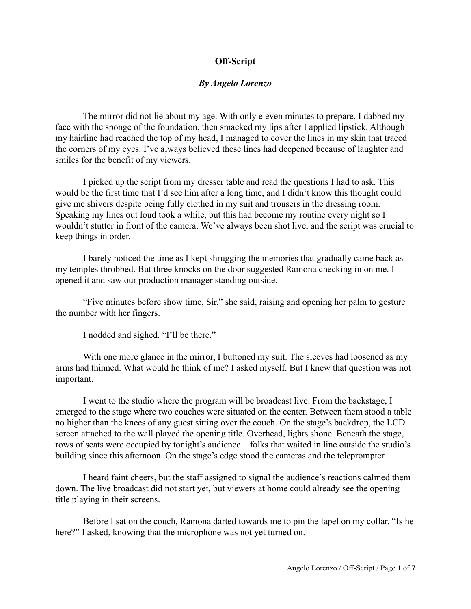## **Off-Script**

## *By Angelo Lorenzo*

The mirror did not lie about my age. With only eleven minutes to prepare, I dabbed my face with the sponge of the foundation, then smacked my lips after I applied lipstick. Although my hairline had reached the top of my head, I managed to cover the lines in my skin that traced the corners of my eyes. I've always believed these lines had deepened because of laughter and smiles for the benefit of my viewers.

I picked up the script from my dresser table and read the questions I had to ask. This would be the first time that I'd see him after a long time, and I didn't know this thought could give me shivers despite being fully clothed in my suit and trousers in the dressing room. Speaking my lines out loud took a while, but this had become my routine every night so I wouldn't stutter in front of the camera. We've always been shot live, and the script was crucial to keep things in order.

I barely noticed the time as I kept shrugging the memories that gradually came back as my temples throbbed. But three knocks on the door suggested Ramona checking in on me. I opened it and saw our production manager standing outside.

"Five minutes before show time, Sir," she said, raising and opening her palm to gesture the number with her fingers.

I nodded and sighed. "I'll be there."

With one more glance in the mirror, I buttoned my suit. The sleeves had loosened as my arms had thinned. What would he think of me? I asked myself. But I knew that question was not important.

I went to the studio where the program will be broadcast live. From the backstage, I emerged to the stage where two couches were situated on the center. Between them stood a table no higher than the knees of any guest sitting over the couch. On the stage's backdrop, the LCD screen attached to the wall played the opening title. Overhead, lights shone. Beneath the stage, rows of seats were occupied by tonight's audience – folks that waited in line outside the studio's building since this afternoon. On the stage's edge stood the cameras and the teleprompter.

I heard faint cheers, but the staff assigned to signal the audience's reactions calmed them down. The live broadcast did not start yet, but viewers at home could already see the opening title playing in their screens.

Before I sat on the couch, Ramona darted towards me to pin the lapel on my collar. "Is he here?" I asked, knowing that the microphone was not yet turned on.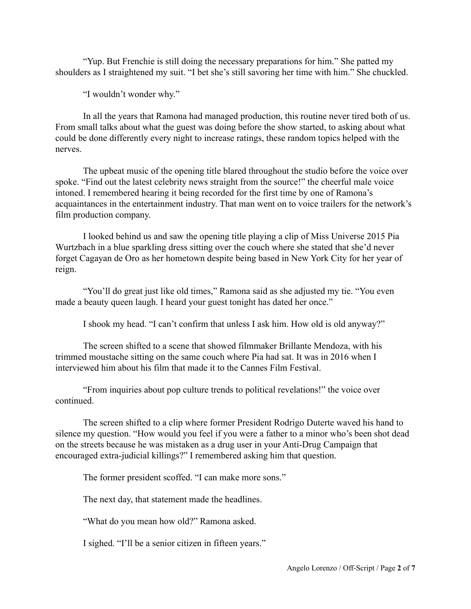"Yup. But Frenchie is still doing the necessary preparations for him." She patted my shoulders as I straightened my suit. "I bet she's still savoring her time with him." She chuckled.

"I wouldn't wonder why."

In all the years that Ramona had managed production, this routine never tired both of us. From small talks about what the guest was doing before the show started, to asking about what could be done differently every night to increase ratings, these random topics helped with the nerves.

The upbeat music of the opening title blared throughout the studio before the voice over spoke. "Find out the latest celebrity news straight from the source!" the cheerful male voice intoned. I remembered hearing it being recorded for the first time by one of Ramona's acquaintances in the entertainment industry. That man went on to voice trailers for the network's film production company.

I looked behind us and saw the opening title playing a clip of Miss Universe 2015 Pia Wurtzbach in a blue sparkling dress sitting over the couch where she stated that she'd never forget Cagayan de Oro as her hometown despite being based in New York City for her year of reign.

"You'll do great just like old times," Ramona said as she adjusted my tie. "You even made a beauty queen laugh. I heard your guest tonight has dated her once."

I shook my head. "I can't confirm that unless I ask him. How old is old anyway?"

The screen shifted to a scene that showed filmmaker Brillante Mendoza, with his trimmed moustache sitting on the same couch where Pia had sat. It was in 2016 when I interviewed him about his film that made it to the Cannes Film Festival.

"From inquiries about pop culture trends to political revelations!" the voice over continued.

The screen shifted to a clip where former President Rodrigo Duterte waved his hand to silence my question. "How would you feel if you were a father to a minor who's been shot dead on the streets because he was mistaken as a drug user in your Anti-Drug Campaign that encouraged extra-judicial killings?" I remembered asking him that question.

The former president scoffed. "I can make more sons."

The next day, that statement made the headlines.

"What do you mean how old?" Ramona asked.

I sighed. "I'll be a senior citizen in fifteen years."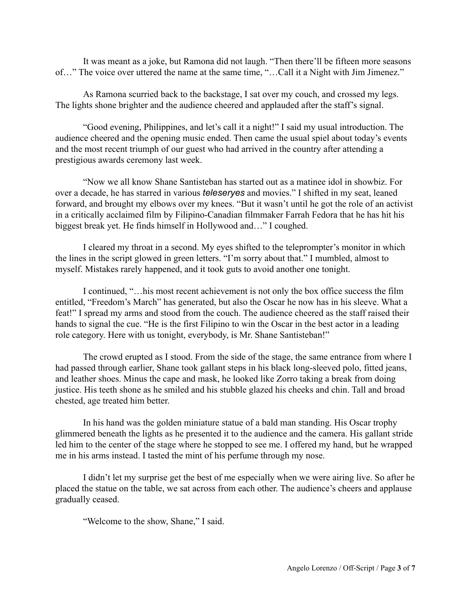It was meant as a joke, but Ramona did not laugh. "Then there'll be fifteen more seasons of…" The voice over uttered the name at the same time, "…Call it a Night with Jim Jimenez."

As Ramona scurried back to the backstage, I sat over my couch, and crossed my legs. The lights shone brighter and the audience cheered and applauded after the staff's signal.

"Good evening, Philippines, and let's call it a night!" I said my usual introduction. The audience cheered and the opening music ended. Then came the usual spiel about today's events and the most recent triumph of our guest who had arrived in the country after attending a prestigious awards ceremony last week.

"Now we all know Shane Santisteban has started out as a matinee idol in showbiz. For over a decade, he has starred in various *teleseryes* and movies." I shifted in my seat, leaned forward, and brought my elbows over my knees. "But it wasn't until he got the role of an activist in a critically acclaimed film by Filipino-Canadian filmmaker Farrah Fedora that he has hit his biggest break yet. He finds himself in Hollywood and…" I coughed.

I cleared my throat in a second. My eyes shifted to the teleprompter's monitor in which the lines in the script glowed in green letters. "I'm sorry about that." I mumbled, almost to myself. Mistakes rarely happened, and it took guts to avoid another one tonight.

I continued, "…his most recent achievement is not only the box office success the film entitled, "Freedom's March" has generated, but also the Oscar he now has in his sleeve. What a feat!" I spread my arms and stood from the couch. The audience cheered as the staff raised their hands to signal the cue. "He is the first Filipino to win the Oscar in the best actor in a leading role category. Here with us tonight, everybody, is Mr. Shane Santisteban!"

The crowd erupted as I stood. From the side of the stage, the same entrance from where I had passed through earlier, Shane took gallant steps in his black long-sleeved polo, fitted jeans, and leather shoes. Minus the cape and mask, he looked like Zorro taking a break from doing justice. His teeth shone as he smiled and his stubble glazed his cheeks and chin. Tall and broad chested, age treated him better.

In his hand was the golden miniature statue of a bald man standing. His Oscar trophy glimmered beneath the lights as he presented it to the audience and the camera. His gallant stride led him to the center of the stage where he stopped to see me. I offered my hand, but he wrapped me in his arms instead. I tasted the mint of his perfume through my nose.

I didn't let my surprise get the best of me especially when we were airing live. So after he placed the statue on the table, we sat across from each other. The audience's cheers and applause gradually ceased.

"Welcome to the show, Shane," I said.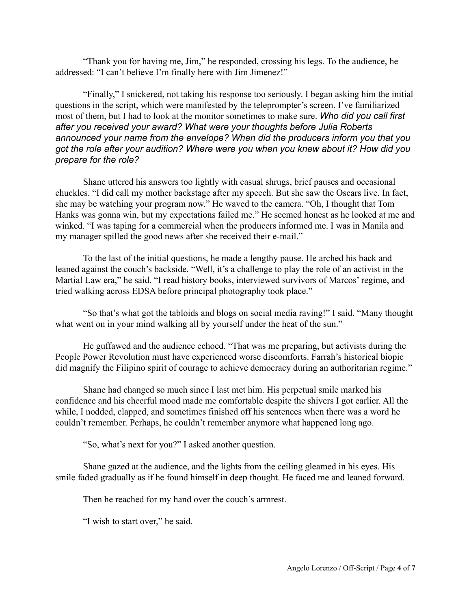"Thank you for having me, Jim," he responded, crossing his legs. To the audience, he addressed: "I can't believe I'm finally here with Jim Jimenez!"

"Finally," I snickered, not taking his response too seriously. I began asking him the initial questions in the script, which were manifested by the teleprompter's screen. I've familiarized most of them, but I had to look at the monitor sometimes to make sure. *Who did you call first after you received your award? What were your thoughts before Julia Roberts announced your name from the envelope? When did the producers inform you that you got the role after your audition? Where were you when you knew about it? How did you prepare for the role?*

Shane uttered his answers too lightly with casual shrugs, brief pauses and occasional chuckles. "I did call my mother backstage after my speech. But she saw the Oscars live. In fact, she may be watching your program now." He waved to the camera. "Oh, I thought that Tom Hanks was gonna win, but my expectations failed me." He seemed honest as he looked at me and winked. "I was taping for a commercial when the producers informed me. I was in Manila and my manager spilled the good news after she received their e-mail."

To the last of the initial questions, he made a lengthy pause. He arched his back and leaned against the couch's backside. "Well, it's a challenge to play the role of an activist in the Martial Law era," he said. "I read history books, interviewed survivors of Marcos' regime, and tried walking across EDSA before principal photography took place."

"So that's what got the tabloids and blogs on social media raving!" I said. "Many thought what went on in your mind walking all by yourself under the heat of the sun."

He guffawed and the audience echoed. "That was me preparing, but activists during the People Power Revolution must have experienced worse discomforts. Farrah's historical biopic did magnify the Filipino spirit of courage to achieve democracy during an authoritarian regime."

Shane had changed so much since I last met him. His perpetual smile marked his confidence and his cheerful mood made me comfortable despite the shivers I got earlier. All the while, I nodded, clapped, and sometimes finished off his sentences when there was a word he couldn't remember. Perhaps, he couldn't remember anymore what happened long ago.

"So, what's next for you?" I asked another question.

Shane gazed at the audience, and the lights from the ceiling gleamed in his eyes. His smile faded gradually as if he found himself in deep thought. He faced me and leaned forward.

Then he reached for my hand over the couch's armrest.

"I wish to start over," he said.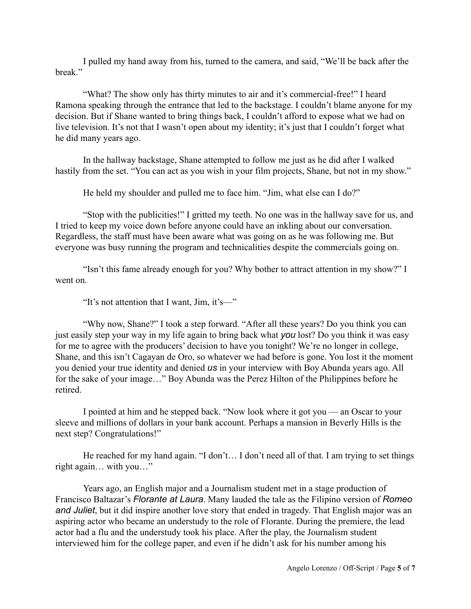I pulled my hand away from his, turned to the camera, and said, "We'll be back after the break."

"What? The show only has thirty minutes to air and it's commercial-free!" I heard Ramona speaking through the entrance that led to the backstage. I couldn't blame anyone for my decision. But if Shane wanted to bring things back, I couldn't afford to expose what we had on live television. It's not that I wasn't open about my identity; it's just that I couldn't forget what he did many years ago.

In the hallway backstage, Shane attempted to follow me just as he did after I walked hastily from the set. "You can act as you wish in your film projects, Shane, but not in my show."

He held my shoulder and pulled me to face him. "Jim, what else can I do?"

"Stop with the publicities!" I gritted my teeth. No one was in the hallway save for us, and I tried to keep my voice down before anyone could have an inkling about our conversation. Regardless, the staff must have been aware what was going on as he was following me. But everyone was busy running the program and technicalities despite the commercials going on.

"Isn't this fame already enough for you? Why bother to attract attention in my show?" I went on.

"It's not attention that I want, Jim, it's—"

"Why now, Shane?" I took a step forward. "After all these years? Do you think you can just easily step your way in my life again to bring back what *you* lost? Do you think it was easy for me to agree with the producers' decision to have you tonight? We're no longer in college, Shane, and this isn't Cagayan de Oro, so whatever we had before is gone. You lost it the moment you denied your true identity and denied *us* in your interview with Boy Abunda years ago. All for the sake of your image…" Boy Abunda was the Perez Hilton of the Philippines before he retired.

I pointed at him and he stepped back. "Now look where it got you — an Oscar to your sleeve and millions of dollars in your bank account. Perhaps a mansion in Beverly Hills is the next step? Congratulations!"

He reached for my hand again. "I don't... I don't need all of that. I am trying to set things right again… with you…"

Years ago, an English major and a Journalism student met in a stage production of Francisco Baltazar's *Florante at Laura*. Many lauded the tale as the Filipino version of *Romeo and Juliet*, but it did inspire another love story that ended in tragedy. That English major was an aspiring actor who became an understudy to the role of Florante. During the premiere, the lead actor had a flu and the understudy took his place. After the play, the Journalism student interviewed him for the college paper, and even if he didn't ask for his number among his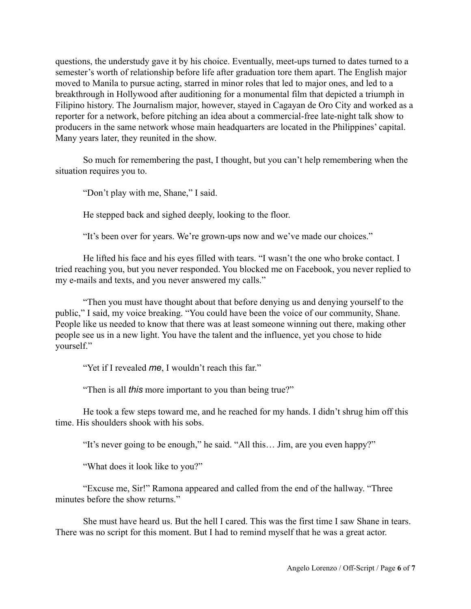questions, the understudy gave it by his choice. Eventually, meet-ups turned to dates turned to a semester's worth of relationship before life after graduation tore them apart. The English major moved to Manila to pursue acting, starred in minor roles that led to major ones, and led to a breakthrough in Hollywood after auditioning for a monumental film that depicted a triumph in Filipino history. The Journalism major, however, stayed in Cagayan de Oro City and worked as a reporter for a network, before pitching an idea about a commercial-free late-night talk show to producers in the same network whose main headquarters are located in the Philippines' capital. Many years later, they reunited in the show.

So much for remembering the past, I thought, but you can't help remembering when the situation requires you to.

"Don't play with me, Shane," I said.

He stepped back and sighed deeply, looking to the floor.

"It's been over for years. We're grown-ups now and we've made our choices."

He lifted his face and his eyes filled with tears. "I wasn't the one who broke contact. I tried reaching you, but you never responded. You blocked me on Facebook, you never replied to my e-mails and texts, and you never answered my calls."

"Then you must have thought about that before denying us and denying yourself to the public," I said, my voice breaking. "You could have been the voice of our community, Shane. People like us needed to know that there was at least someone winning out there, making other people see us in a new light. You have the talent and the influence, yet you chose to hide yourself."

"Yet if I revealed *me*, I wouldn't reach this far."

"Then is all *this* more important to you than being true?"

He took a few steps toward me, and he reached for my hands. I didn't shrug him off this time. His shoulders shook with his sobs.

"It's never going to be enough," he said. "All this… Jim, are you even happy?"

"What does it look like to you?"

"Excuse me, Sir!" Ramona appeared and called from the end of the hallway. "Three minutes before the show returns."

She must have heard us. But the hell I cared. This was the first time I saw Shane in tears. There was no script for this moment. But I had to remind myself that he was a great actor.